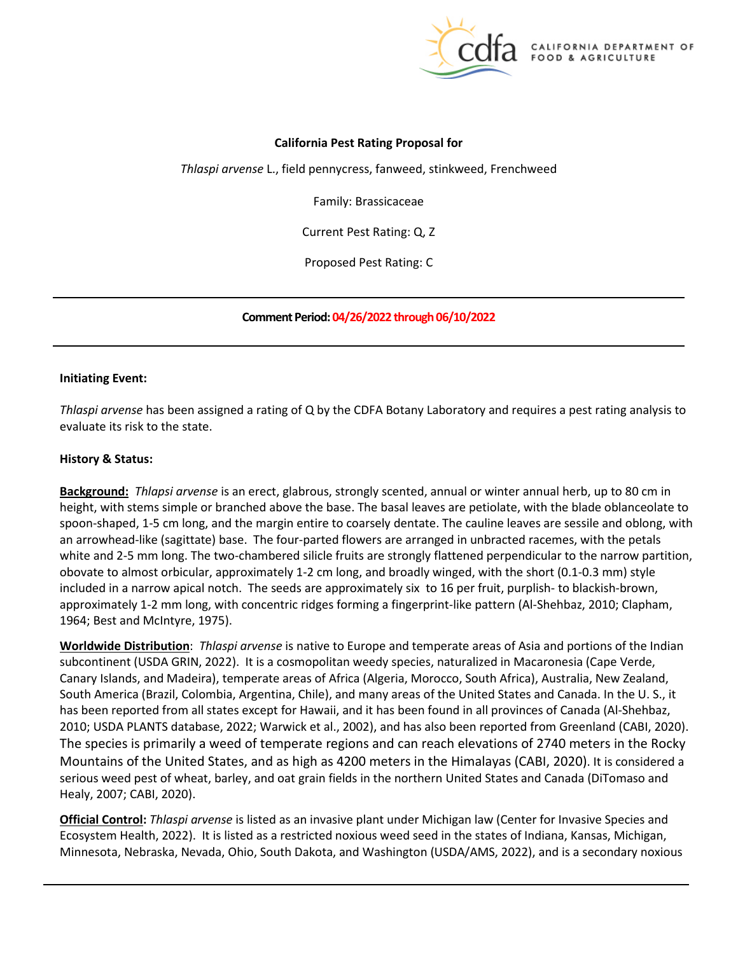

# **California Pest Rating Proposal for**

*Thlaspi arvense* L., field pennycress, fanweed, stinkweed, Frenchweed

Family: Brassicaceae

Current Pest Rating: Q, Z

Proposed Pest Rating: C

 **Comment Period: 04/26/2022 through 06/10/2022** 

### **Initiating Event:**

 *Thlaspi arvense* has been assigned a rating of Q by the CDFA Botany Laboratory and requires a pest rating analysis to evaluate its risk to the state.

#### **History & Status:**

 **Background:** *Thlapsi arvense* is an erect, glabrous, strongly scented, annual or winter annual herb, up to 80 cm in height, with stems simple or branched above the base. The basal leaves are petiolate, with the blade oblanceolate to obovate to almost orbicular, approximately 1-2 cm long, and broadly winged, with the short (0.1-0.3 mm) style included in a narrow apical notch. The seeds are approximately six to 16 per fruit, purplish- to blackish-brown, spoon-shaped, 1-5 cm long, and the margin entire to coarsely dentate. The cauline leaves are sessile and oblong, with an arrowhead-like (sagittate) base. The four-parted flowers are arranged in unbracted racemes, with the petals white and 2-5 mm long. The two-chambered silicle fruits are strongly flattened perpendicular to the narrow partition, approximately 1-2 mm long, with concentric ridges forming a fingerprint-like pattern (Al-Shehbaz, 2010; Clapham, 1964; Best and McIntyre, 1975).

 subcontinent (USDA GRIN, 2022). It is a cosmopolitan weedy species, naturalized in Macaronesia (Cape Verde, The species is primarily a weed of temperate regions and can reach elevations of 2740 meters in the Rocky **Worldwide Distribution**: *Thlaspi arvense* is native to Europe and temperate areas of Asia and portions of the Indian Canary Islands, and Madeira), temperate areas of Africa (Algeria, Morocco, South Africa), Australia, New Zealand, South America (Brazil, Colombia, Argentina, Chile), and many areas of the United States and Canada. In the U. S., it has been reported from all states except for Hawaii, and it has been found in all provinces of Canada (Al-Shehbaz, 2010; USDA PLANTS database, 2022; Warwick et al., 2002), and has also been reported from Greenland (CABI, 2020). Mountains of the United States, and as high as 4200 meters in the Himalayas (CABI, 2020). It is considered a serious weed pest of wheat, barley, and oat grain fields in the northern United States and Canada (DiTomaso and Healy, 2007; CABI, 2020).

**Official Control:** *Thlaspi arvense* is listed as an invasive plant under Michigan law (Center for Invasive Species and Ecosystem Health, 2022). It is listed as a restricted noxious weed seed in the states of Indiana, Kansas, Michigan, Minnesota, Nebraska, Nevada, Ohio, South Dakota, and Washington (USDA/AMS, 2022), and is a secondary noxious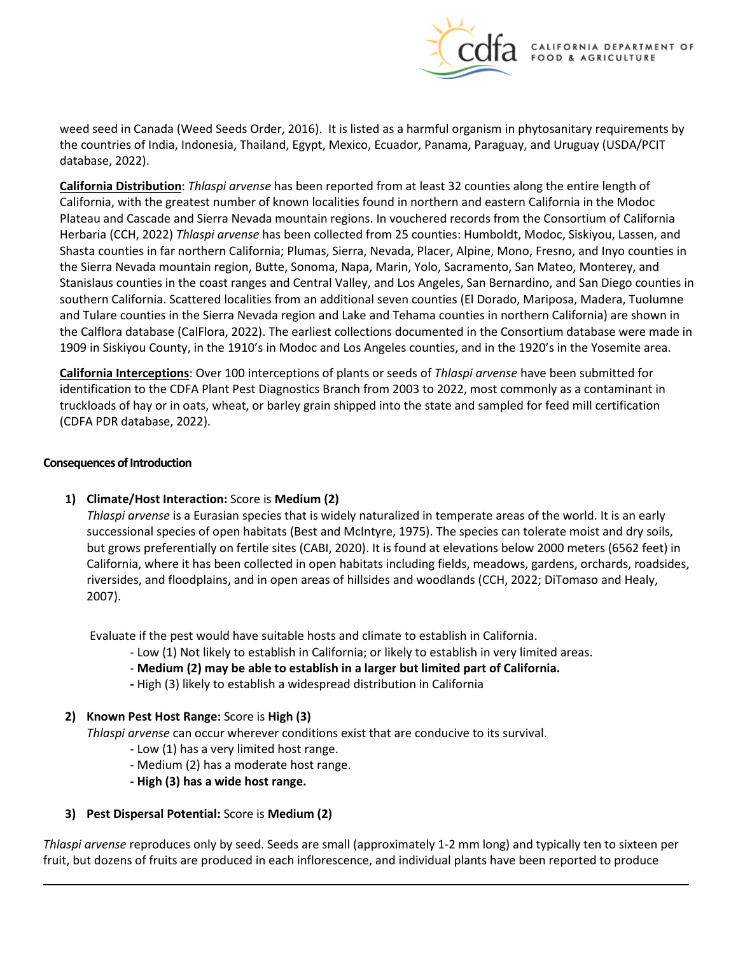

 the countries of India, Indonesia, Thailand, Egypt, Mexico, Ecuador, Panama, Paraguay, and Uruguay (USDA/PCIT weed seed in Canada (Weed Seeds Order, 2016). It is listed as a harmful organism in phytosanitary requirements by database, 2022).

 **California Distribution**: *Thlaspi arvense* has been reported from at least 32 counties along the entire length of California, with the greatest number of known localities found in northern and eastern California in the Modoc Herbaria (CCH, 2022) *Thlaspi arvense* has been collected from 25 counties: Humboldt, Modoc, Siskiyou, Lassen, and the Sierra Nevada mountain region, Butte, Sonoma, Napa, Marin, Yolo, Sacramento, San Mateo, Monterey, and and Tulare counties in the Sierra Nevada region and Lake and Tehama counties in northern California) are shown in the Calflora database (CalFlora, 2022). The earliest collections documented in the Consortium database were made in 1909 in Siskiyou County, in the 1910's in Modoc and Los Angeles counties, and in the 1920's in the Yosemite area. Plateau and Cascade and Sierra Nevada mountain regions. In vouchered records from the Consortium of California Shasta counties in far northern California; Plumas, Sierra, Nevada, Placer, Alpine, Mono, Fresno, and Inyo counties in Stanislaus counties in the coast ranges and Central Valley, and Los Angeles, San Bernardino, and San Diego counties in southern California. Scattered localities from an additional seven counties (El Dorado, Mariposa, Madera, Tuolumne

 **California Interceptions**: Over 100 interceptions of plants or seeds of *Thlaspi arvense* have been submitted for identification to the CDFA Plant Pest Diagnostics Branch from 2003 to 2022, most commonly as a contaminant in truckloads of hay or in oats, wheat, or barley grain shipped into the state and sampled for feed mill certification (CDFA PDR database, 2022).

### **Consequences of Introduction**

**1) Climate/Host Interaction:** Score is **Medium (2)** 

 *Thlaspi arvense* is a Eurasian species that is widely naturalized in temperate areas of the world. It is an early successional species of open habitats (Best and McIntyre, 1975). The species can tolerate moist and dry soils, but grows preferentially on fertile sites (CABI, 2020). It is found at elevations below 2000 meters (6562 feet) in California, where it has been collected in open habitats including fields, meadows, gardens, orchards, roadsides, riversides, and floodplains, and in open areas of hillsides and woodlands (CCH, 2022; DiTomaso and Healy, 2007).

Evaluate if the pest would have suitable hosts and climate to establish in California.

- Low (1) Not likely to establish in California; or likely to establish in very limited areas.
- Low (1) Not likely to establish in California; or likely to establish in very limited areas. **Medium (2) may be able to establish in a larger but limited part of California.**
- **-** High (3) likely to establish a widespread distribution in California

## **2) Known Pest Host Range:** Score is **High (3)**

*Thlaspi arvense* can occur wherever conditions exist that are conducive to its survival.

- Low (1) has a very limited host range.
- Medium (2) has a moderate host range.
- **- High (3) has a wide host range.**

## **3) Pest Dispersal Potential:** Score is **Medium (2)**

 *Thlaspi arvense* reproduces only by seed. Seeds are small (approximately 1-2 mm long) and typically ten to sixteen per fruit, but dozens of fruits are produced in each inflorescence, and individual plants have been reported to produce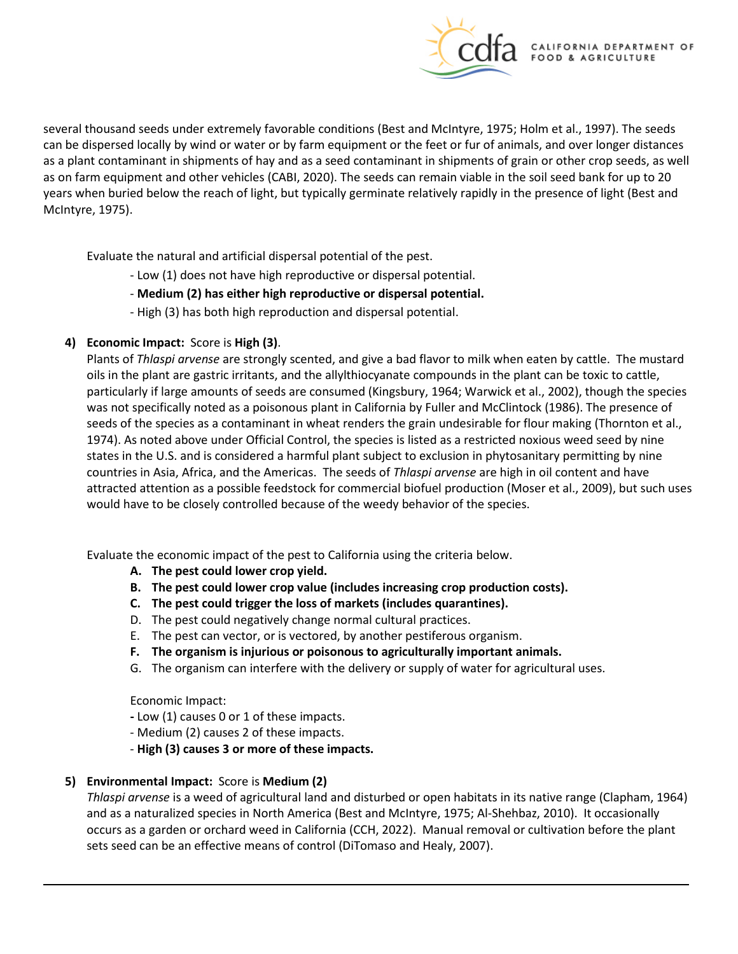

 can be dispersed locally by wind or water or by farm equipment or the feet or fur of animals, and over longer distances as a plant contaminant in shipments of hay and as a seed contaminant in shipments of grain or other crop seeds, as well as on farm equipment and other vehicles (CABI, 2020). The seeds can remain viable in the soil seed bank for up to 20 several thousand seeds under extremely favorable conditions (Best and McIntyre, 1975; Holm et al., 1997). The seeds years when buried below the reach of light, but typically germinate relatively rapidly in the presence of light (Best and McIntyre, 1975).

Evaluate the natural and artificial dispersal potential of the pest.

- Low (1) does not have high reproductive or dispersal potential.
- **Medium (2) has either high reproductive or dispersal potential.**
- High (3) has both high reproduction and dispersal potential.

# **4) Economic Impact:** Score is **High (3)**.

 particularly if large amounts of seeds are consumed (Kingsbury, 1964; Warwick et al., 2002), though the species seeds of the species as a contaminant in wheat renders the grain undesirable for flour making (Thornton et al., states in the U.S. and is considered a harmful plant subject to exclusion in phytosanitary permitting by nine countries in Asia, Africa, and the Americas. The seeds of *Thlaspi arvense* are high in oil content and have attracted attention as a possible feedstock for commercial biofuel production (Moser et al., 2009), but such uses would have to be closely controlled because of the weedy behavior of the species. Plants of *Thlaspi arvense* are strongly scented, and give a bad flavor to milk when eaten by cattle. The mustard oils in the plant are gastric irritants, and the allylthiocyanate compounds in the plant can be toxic to cattle, was not specifically noted as a poisonous plant in California by Fuller and McClintock (1986). The presence of 1974). As noted above under Official Control, the species is listed as a restricted noxious weed seed by nine

Evaluate the economic impact of the pest to California using the criteria below.

- **A. The pest could lower crop yield.**
- **B. The pest could lower crop value (includes increasing crop production costs).**
- **C. The pest could trigger the loss of markets (includes quarantines).**
- D. The pest could negatively change normal cultural practices.
- E. The pest can vector, or is vectored, by another pestiferous organism.
- **F. The organism is injurious or poisonous to agriculturally important animals.**
- G. The organism can interfere with the delivery or supply of water for agricultural uses.

Economic Impact:

- **-** Low (1) causes 0 or 1 of these impacts.
- Medium (2) causes 2 of these impacts.
- **High (3) causes 3 or more of these impacts.**

# **5) Environmental Impact:** Score is **Medium (2)**

 occurs as a garden or orchard weed in California (CCH, 2022). Manual removal or cultivation before the plant *Thlaspi arvense* is a weed of agricultural land and disturbed or open habitats in its native range (Clapham, 1964) and as a naturalized species in North America (Best and McIntyre, 1975; Al-Shehbaz, 2010). It occasionally sets seed can be an effective means of control (DiTomaso and Healy, 2007).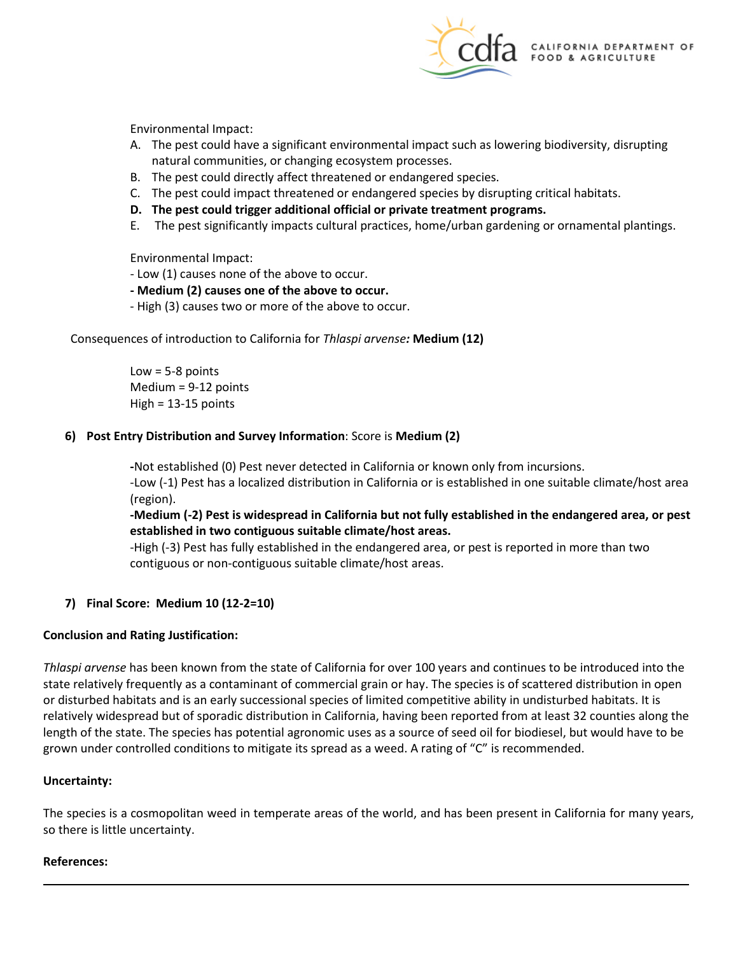

Environmental Impact:

- A. The pest could have a significant environmental impact such as lowering biodiversity, disrupting natural communities, or changing ecosystem processes.
- B. The pest could directly affect threatened or endangered species.
- C. The pest could impact threatened or endangered species by disrupting critical habitats.
- **D. The pest could trigger additional official or private treatment programs.**
- E. The pest significantly impacts cultural practices, home/urban gardening or ornamental plantings.

Environmental Impact:

- Low (1) causes none of the above to occur.
- **- Medium (2) causes one of the above to occur.**
- High (3) causes two or more of the above to occur.

 Consequences of introduction to California for *Thlaspi arvense:* **Medium (12)** 

 $Low = 5-8$  points Medium = 9-12 points High = 13-15 points

## **6) Post Entry Distribution and Survey Information**: Score is **Medium (2)**

**-**Not established (0) Pest never detected in California or known only from incursions.

-Low (-1) Pest has a localized distribution in California or is established in one suitable climate/host area (region).

 **established in two contiguous suitable climate/host areas. -Medium (-2) Pest is widespread in California but not fully established in the endangered area, or pest** 

 -High (-3) Pest has fully established in the endangered area, or pest is reported in more than two contiguous or non-contiguous suitable climate/host areas.

# **7) Final Score: Medium 10 (12-2=10)**

## **Conclusion and Rating Justification:**

 state relatively frequently as a contaminant of commercial grain or hay. The species is of scattered distribution in open or disturbed habitats and is an early successional species of limited competitive ability in undisturbed habitats. It is length of the state. The species has potential agronomic uses as a source of seed oil for biodiesel, but would have to be *Thlaspi arvense* has been known from the state of California for over 100 years and continues to be introduced into the relatively widespread but of sporadic distribution in California, having been reported from at least 32 counties along the grown under controlled conditions to mitigate its spread as a weed. A rating of "C" is recommended.

## **Uncertainty:**

The species is a cosmopolitan weed in temperate areas of the world, and has been present in California for many years, so there is little uncertainty.

## **References:**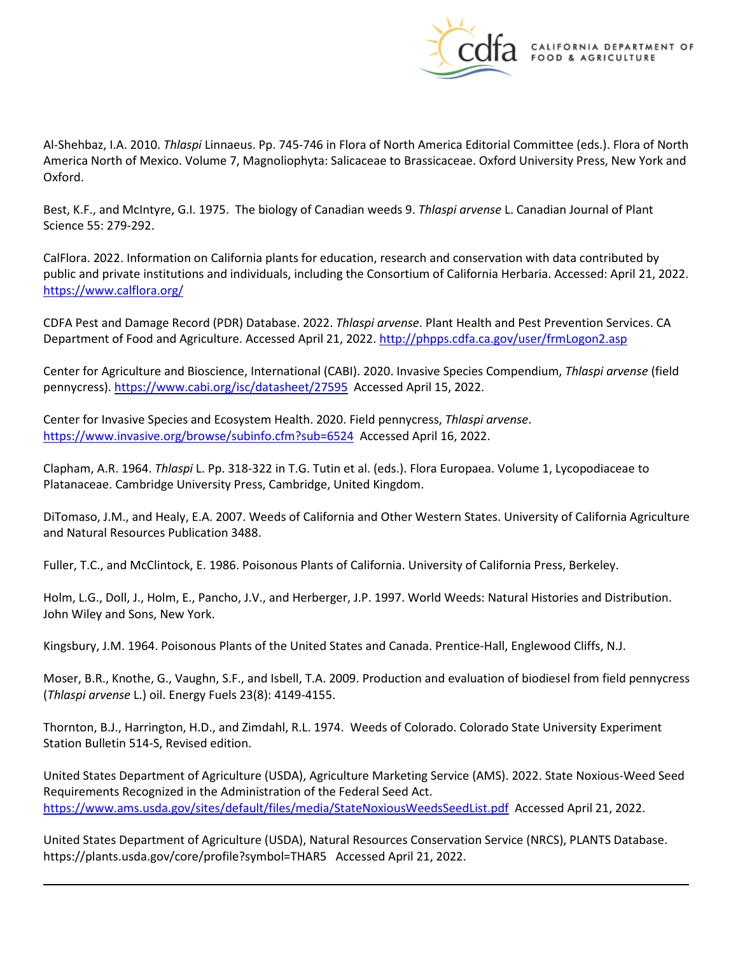

Al-Shehbaz, I.A. 2010. *Thlaspi* Linnaeus. Pp. 745-746 in Flora of North America Editorial Committee (eds.). Flora of North America North of Mexico. Volume 7, Magnoliophyta: Salicaceae to Brassicaceae. Oxford University Press, New York and Oxford.

Best, K.F., and McIntyre, G.I. 1975. The biology of Canadian weeds 9. *Thlaspi arvense* L. Canadian Journal of Plant Science 55: 279-292.

CalFlora. 2022. Information on California plants for education, research and conservation with data contributed by public and private institutions and individuals, including the Consortium of California Herbaria. Accessed: April 21, 2022. <https://www.calflora.org/>

 CDFA Pest and Damage Record (PDR) Database. 2022. *Thlaspi arvense*. Plant Health and Pest Prevention Services. CA Department of Food and Agriculture. Accessed April 21, 2022[. http://phpps.cdfa.ca.gov/user/frmLogon2.asp](http://phpps.cdfa.ca.gov/user/frmLogon2.asp) 

pennycress).<https://www.cabi.org/isc/datasheet/27595>Accessed April 15, 2022. Center for Agriculture and Bioscience, International (CABI). 2020. Invasive Species Compendium, *Thlaspi arvense* (field

<https://www.invasive.org/browse/subinfo.cfm?sub=6524>Accessed April 16, 2022. Center for Invasive Species and Ecosystem Health. 2020. Field pennycress, *Thlaspi arvense*.

 Clapham, A.R. 1964. *Thlaspi* L. Pp. 318-322 in T.G. Tutin et al. (eds.). Flora Europaea. Volume 1, Lycopodiaceae to Platanaceae. Cambridge University Press, Cambridge, United Kingdom.

DiTomaso, J.M., and Healy, E.A. 2007. Weeds of California and Other Western States. University of California Agriculture and Natural Resources Publication 3488.

Fuller, T.C., and McClintock, E. 1986. Poisonous Plants of California. University of California Press, Berkeley.

Holm, L.G., Doll, J., Holm, E., Pancho, J.V., and Herberger, J.P. 1997. World Weeds: Natural Histories and Distribution. John Wiley and Sons, New York.

Kingsbury, J.M. 1964. Poisonous Plants of the United States and Canada. Prentice-Hall, Englewood Cliffs, N.J.

 Moser, B.R., Knothe, G., Vaughn, S.F., and Isbell, T.A. 2009. Production and evaluation of biodiesel from field pennycress (*Thlaspi arvense* L.) oil. Energy Fuels 23(8): 4149-4155.

Thornton, B.J., Harrington, H.D., and Zimdahl, R.L. 1974. Weeds of Colorado. Colorado State University Experiment Station Bulletin 514-S, Revised edition.

 United States Department of Agriculture (USDA), Agriculture Marketing Service (AMS). 2022. State Noxious-Weed Seed <https://www.ams.usda.gov/sites/default/files/media/StateNoxiousWeedsSeedList.pdf>Accessed April 21, 2022. Requirements Recognized in the Administration of the Federal Seed Act.

 United States Department of Agriculture (USDA), Natural Resources Conservation Service (NRCS), PLANTS Database. <https://plants.usda.gov/core/profile?symbol=THAR5> Accessed April 21, 2022.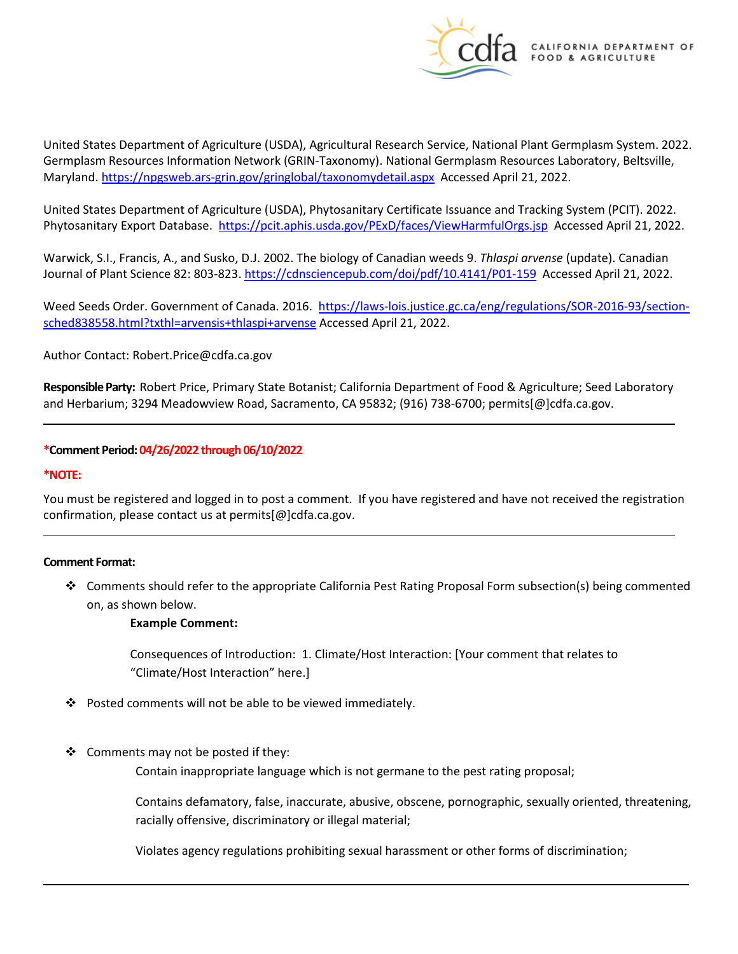

Maryland.<https://npgsweb.ars-grin.gov/gringlobal/taxonomydetail.aspx>Accessed April 21, 2022. United States Department of Agriculture (USDA), Agricultural Research Service, National Plant Germplasm System. 2022. Germplasm Resources Information Network (GRIN-Taxonomy). National Germplasm Resources Laboratory, Beltsville,

 United States Department of Agriculture (USDA), Phytosanitary Certificate Issuance and Tracking System (PCIT). 2022. Phytosanitary Export Database. <https://pcit.aphis.usda.gov/PExD/faces/ViewHarmfulOrgs.jsp>Accessed April 21, 2022.

 Warwick, S.I., Francis, A., and Susko, D.J. 2002. The biology of Canadian weeds 9. *Thlaspi arvense* (update). Canadian Journal of Plant Science 82: 803-823.<https://cdnsciencepub.com/doi/pdf/10.4141/P01-159>Accessed April 21, 2022.

Weed Seeds Order. Government of Canada. 2016. [https://laws-lois.justice.gc.ca/eng/regulations/SOR-2016-93/section](https://laws-lois.justice.gc.ca/eng/regulations/SOR-2016-93/section-sched838558.html?txthl=arvensis+thlaspi+arvense)[sched838558.html?txthl=arvensis+thlaspi+arvense A](https://laws-lois.justice.gc.ca/eng/regulations/SOR-2016-93/section-sched838558.html?txthl=arvensis+thlaspi+arvense)ccessed April 21, 2022.

Author Contact: [Robert.Price@cdfa.ca.gov](mailto:Robert.Price@cdfa.ca.gov) 

 **Responsible Party:** Robert Price, Primary State Botanist; California Department of Food & Agriculture; Seed Laboratory and Herbarium; 3294 Meadowview Road, Sacramento, CA 95832; (916) 738-6700; [permits\[@\]cdfa.ca.gov.](https://permits[@]cdfa.ca.gov)

### **\*Comment Period: 04/26/2022 through 06/10/2022**

#### **\*NOTE:**

You must be registered and logged in to post a comment. If you have registered and have not received the registration confirmation, please contact us at [permits\[@\]cdfa.ca.gov.](https://permits[@]cdfa.ca.gov)

#### **Comment Format:**

 Comments should refer to the appropriate California Pest Rating Proposal Form subsection(s) being commented on, as shown below.

#### **Example Comment:**

 Consequences of Introduction: 1. Climate/Host Interaction: [Your comment that relates to "Climate/Host Interaction" here.]

- ❖ Posted comments will not be able to be viewed immediately.
- $\clubsuit$  Comments may not be posted if they:

Contain inappropriate language which is not germane to the pest rating proposal;

Contains defamatory, false, inaccurate, abusive, obscene, pornographic, sexually oriented, threatening, racially offensive, discriminatory or illegal material;

Violates agency regulations prohibiting sexual harassment or other forms of discrimination;